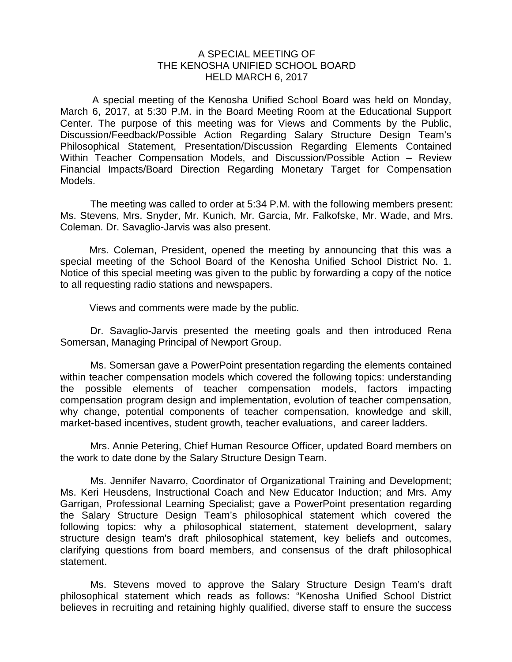## A SPECIAL MEETING OF THE KENOSHA UNIFIED SCHOOL BOARD HELD MARCH 6, 2017

A special meeting of the Kenosha Unified School Board was held on Monday, March 6, 2017, at 5:30 P.M. in the Board Meeting Room at the Educational Support Center. The purpose of this meeting was for Views and Comments by the Public, Discussion/Feedback/Possible Action Regarding Salary Structure Design Team's Philosophical Statement, Presentation/Discussion Regarding Elements Contained Within Teacher Compensation Models, and Discussion/Possible Action – Review Financial Impacts/Board Direction Regarding Monetary Target for Compensation Models.

The meeting was called to order at 5:34 P.M. with the following members present: Ms. Stevens, Mrs. Snyder, Mr. Kunich, Mr. Garcia, Mr. Falkofske, Mr. Wade, and Mrs. Coleman. Dr. Savaglio-Jarvis was also present.

Mrs. Coleman, President, opened the meeting by announcing that this was a special meeting of the School Board of the Kenosha Unified School District No. 1. Notice of this special meeting was given to the public by forwarding a copy of the notice to all requesting radio stations and newspapers.

Views and comments were made by the public.

Dr. Savaglio-Jarvis presented the meeting goals and then introduced Rena Somersan, Managing Principal of Newport Group.

Ms. Somersan gave a PowerPoint presentation regarding the elements contained within teacher compensation models which covered the following topics: understanding the possible elements of teacher compensation models, factors impacting compensation program design and implementation, evolution of teacher compensation, why change, potential components of teacher compensation, knowledge and skill, market-based incentives, student growth, teacher evaluations, and career ladders.

Mrs. Annie Petering, Chief Human Resource Officer, updated Board members on the work to date done by the Salary Structure Design Team.

Ms. Jennifer Navarro, Coordinator of Organizational Training and Development; Ms. Keri Heusdens, Instructional Coach and New Educator Induction; and Mrs. Amy Garrigan, Professional Learning Specialist; gave a PowerPoint presentation regarding the Salary Structure Design Team's philosophical statement which covered the following topics: why a philosophical statement, statement development, salary structure design team's draft philosophical statement, key beliefs and outcomes, clarifying questions from board members, and consensus of the draft philosophical statement.

Ms. Stevens moved to approve the Salary Structure Design Team's draft philosophical statement which reads as follows: "Kenosha Unified School District believes in recruiting and retaining highly qualified, diverse staff to ensure the success